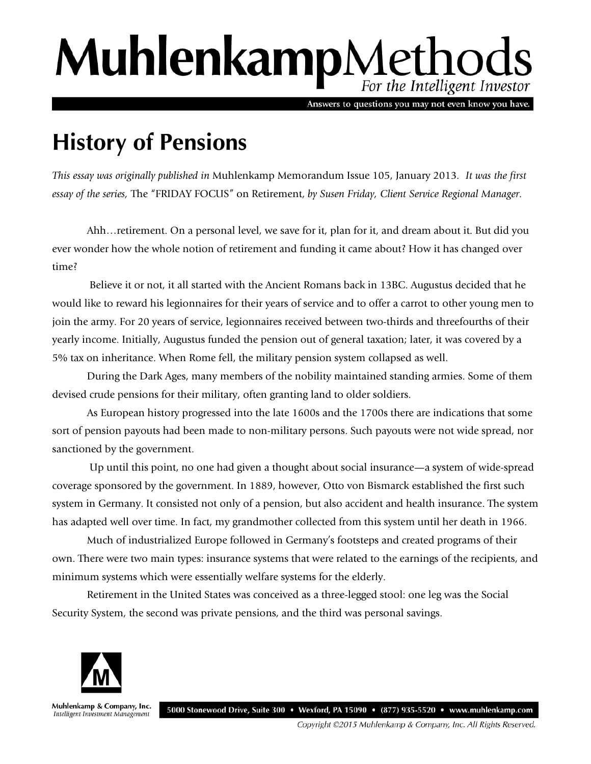# MuhlenkampMethods For the Intelligent Investor

Answers to questions you may not even know you have.

## **History of Pensions**

*This essay was originally published in* Muhlenkamp Memorandum Issue 105, January 2013*. It was the first essay of the series,* The "FRIDAY FOCUS" on Retirement, *by Susen Friday, Client Service Regional Manager.*

Ahh…retirement. On a personal level, we save for it, plan for it, and dream about it. But did you ever wonder how the whole notion of retirement and funding it came about? How it has changed over time?

Believe it or not, it all started with the Ancient Romans back in 13BC. Augustus decided that he would like to reward his legionnaires for their years of service and to offer a carrot to other young men to join the army. For 20 years of service, legionnaires received between two-thirds and threefourths of their yearly income. Initially, Augustus funded the pension out of general taxation; later, it was covered by a 5% tax on inheritance. When Rome fell, the military pension system collapsed as well.

During the Dark Ages, many members of the nobility maintained standing armies. Some of them devised crude pensions for their military, often granting land to older soldiers.

As European history progressed into the late 1600s and the 1700s there are indications that some sort of pension payouts had been made to non-military persons. Such payouts were not wide spread, nor sanctioned by the government.

Up until this point, no one had given a thought about social insurance—a system of wide-spread coverage sponsored by the government. In 1889, however, Otto von Bismarck established the first such system in Germany. It consisted not only of a pension, but also accident and health insurance. The system has adapted well over time. In fact, my grandmother collected from this system until her death in 1966.

Much of industrialized Europe followed in Germany's footsteps and created programs of their own. There were two main types: insurance systems that were related to the earnings of the recipients, and minimum systems which were essentially welfare systems for the elderly.

Retirement in the United States was conceived as a three-legged stool: one leg was the Social Security System, the second was private pensions, and the third was personal savings.



Muhlenkamp & Company, Inc. Intelligent Investment Management

Copyright ©2015 Muhlenkamp & Company, Inc. All Rights Reserved.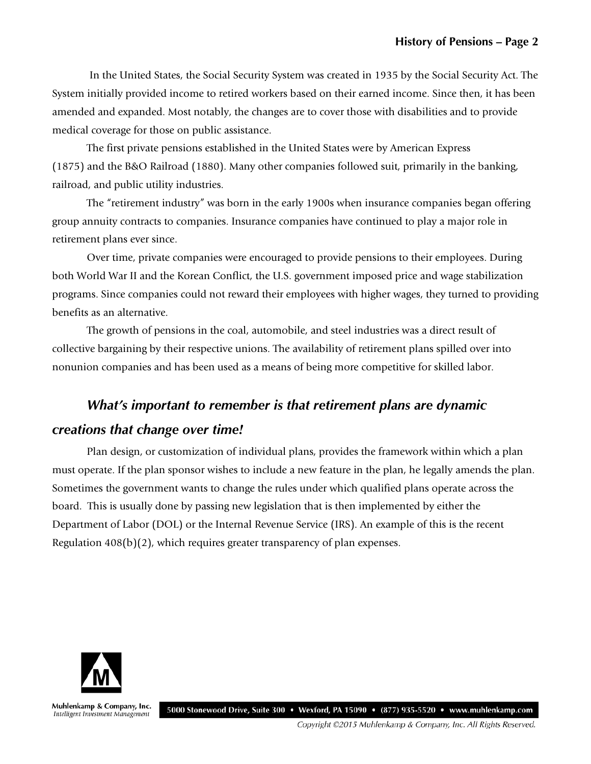In the United States, the Social Security System was created in 1935 by the Social Security Act. The System initially provided income to retired workers based on their earned income. Since then, it has been amended and expanded. Most notably, the changes are to cover those with disabilities and to provide medical coverage for those on public assistance.

The first private pensions established in the United States were by American Express (1875) and the B&O Railroad (1880). Many other companies followed suit, primarily in the banking, railroad, and public utility industries.

The "retirement industry" was born in the early 1900s when insurance companies began offering group annuity contracts to companies. Insurance companies have continued to play a major role in retirement plans ever since.

Over time, private companies were encouraged to provide pensions to their employees. During both World War II and the Korean Conflict, the U.S. government imposed price and wage stabilization programs. Since companies could not reward their employees with higher wages, they turned to providing benefits as an alternative.

The growth of pensions in the coal, automobile, and steel industries was a direct result of collective bargaining by their respective unions. The availability of retirement plans spilled over into nonunion companies and has been used as a means of being more competitive for skilled labor.

## *What's important to remember is that retirement plans are dynamic creations that change over time!*

Plan design, or customization of individual plans, provides the framework within which a plan must operate. If the plan sponsor wishes to include a new feature in the plan, he legally amends the plan. Sometimes the government wants to change the rules under which qualified plans operate across the board. This is usually done by passing new legislation that is then implemented by either the Department of Labor (DOL) or the Internal Revenue Service (IRS). An example of this is the recent Regulation 408(b)(2), which requires greater transparency of plan expenses.



Muhlenkamp & Company, Inc. Intelligent Investment Management

5000 Stonewood Drive, Suite 300 • Wexford, PA 15090 • (877) 935-5520 • www.muhlenkamp.com

Copyright ©2015 Muhlenkamp & Company, Inc. All Rights Reserved.